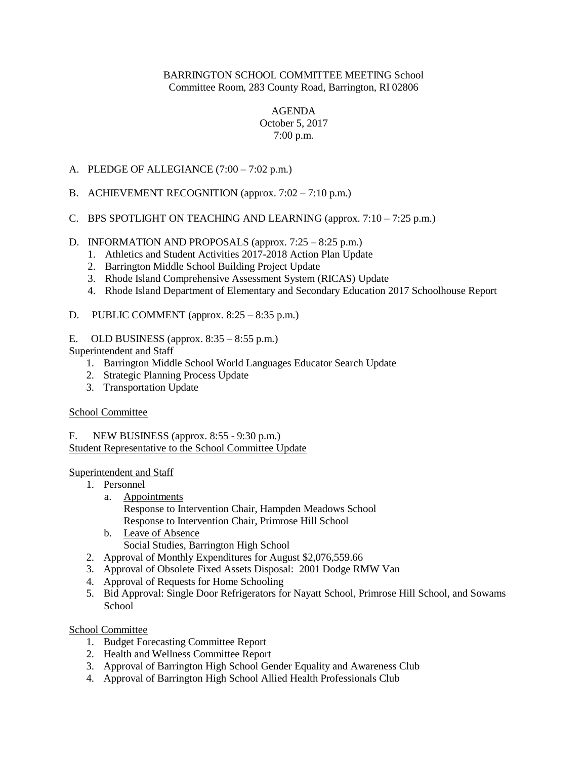## BARRINGTON SCHOOL COMMITTEE MEETING School Committee Room, 283 County Road, Barrington, RI 02806

## AGENDA October 5, 2017 7:00 p.m.

- A. PLEDGE OF ALLEGIANCE (7:00 7:02 p.m.)
- B. ACHIEVEMENT RECOGNITION (approx. 7:02 7:10 p.m.)
- C. BPS SPOTLIGHT ON TEACHING AND LEARNING (approx. 7:10 7:25 p.m.)
- D. INFORMATION AND PROPOSALS (approx. 7:25 8:25 p.m.)
	- 1. Athletics and Student Activities 2017-2018 Action Plan Update
	- 2. Barrington Middle School Building Project Update
	- 3. Rhode Island Comprehensive Assessment System (RICAS) Update
	- 4. Rhode Island Department of Elementary and Secondary Education 2017 Schoolhouse Report
- D. PUBLIC COMMENT (approx.  $8:25 8:35$  p.m.)
- E. OLD BUSINESS (approx.  $8:35 8:55$  p.m.)

Superintendent and Staff

- 1. Barrington Middle School World Languages Educator Search Update
- 2. Strategic Planning Process Update
- 3. Transportation Update

School Committee

F. NEW BUSINESS (approx. 8:55 - 9:30 p.m.) Student Representative to the School Committee Update

## Superintendent and Staff

- 1. Personnel
	- a. Appointments Response to Intervention Chair, Hampden Meadows School Response to Intervention Chair, Primrose Hill School
	- b. Leave of Absence Social Studies, Barrington High School
- 2. Approval of Monthly Expenditures for August \$2,076,559.66
- 3. Approval of Obsolete Fixed Assets Disposal: 2001 Dodge RMW Van
- 4. Approval of Requests for Home Schooling
- 5. Bid Approval: Single Door Refrigerators for Nayatt School, Primrose Hill School, and Sowams School

## School Committee

- 1. Budget Forecasting Committee Report
- 2. Health and Wellness Committee Report
- 3. Approval of Barrington High School Gender Equality and Awareness Club
- 4. Approval of Barrington High School Allied Health Professionals Club